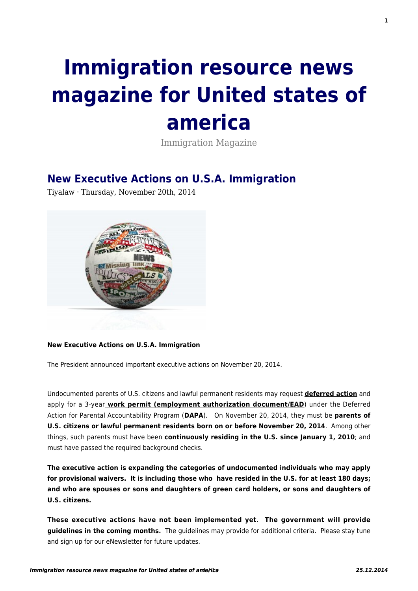## **[Immigration resource news](http://immigrationresource.net/) [magazine for United states of](http://immigrationresource.net/) [america](http://immigrationresource.net/)**

Immigration Magazine

## **[New Executive Actions on U.S.A. Immigration](http://immigrationresource.net/new-executive-actions-on-u-s-a-immigration/)**

Tiyalaw · Thursday, November 20th, 2014



## **New Executive Actions on U.S.A. Immigration**

The President announced important executive actions on November 20, 2014.

Undocumented parents of U.S. citizens and lawful permanent residents may request **deferred action** and apply for a 3-year **work permit (employment authorization document/EAD**) under the Deferred Action for Parental Accountability Program (**DAPA**). On November 20, 2014, they must be **parents of U.S. citizens or lawful permanent residents born on or before November 20, 2014**. Among other things, such parents must have been **continuously residing in the U.S. since January 1, 2010**; and must have passed the required background checks.

**The executive action is expanding the categories of undocumented individuals who may apply for provisional waivers. It is including those who have resided in the U.S. for at least 180 days; and who are spouses or sons and daughters of green card holders, or sons and daughters of U.S. citizens.**

**These executive actions have not been implemented yet**. **The government will provide guidelines in the coming months.** The guidelines may provide for additional criteria. Please stay tune and sign up for our eNewsletter for future updates.